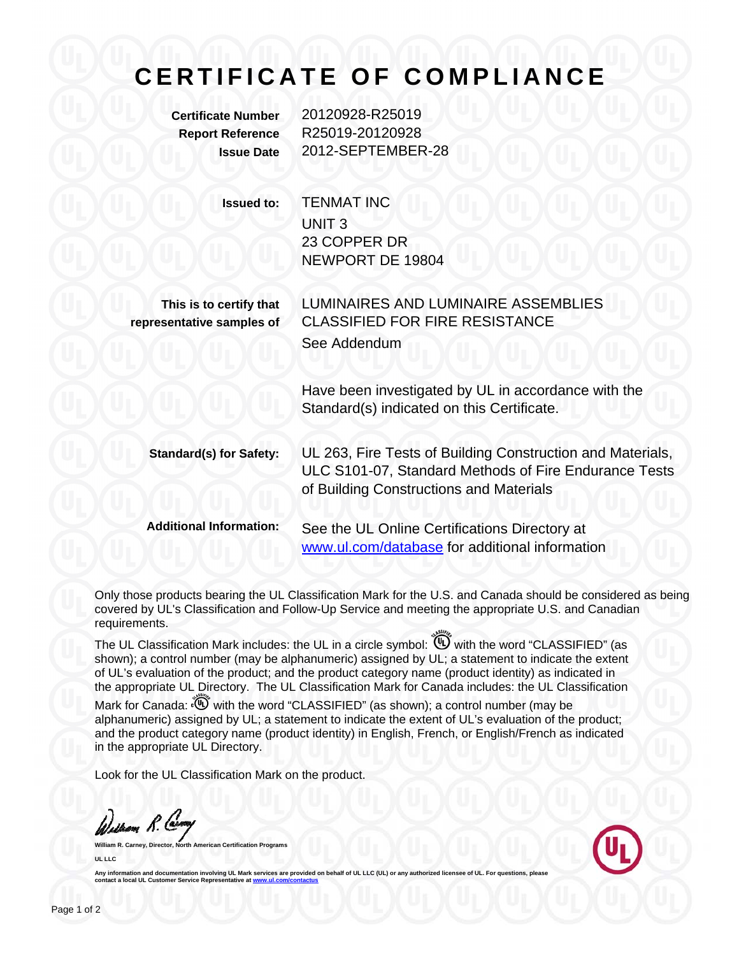## **CERTIFICATE OF COMPLIANCE**

**Certificate Number** 20120928-R25019 **Report Reference** R25019-20120928 **Issue Date** 2012-SEPTEMBER-28

> **Issued to:** TENMAT INC UNIT 3 23 COPPER DR NEWPORT DE 19804

**This is to certify that representative samples of**

LUMINAIRES AND LUMINAIRE ASSEMBLIES CLASSIFIED FOR FIRE RESISTANCE See Addendum

Have been investigated by UL in accordance with the Standard(s) indicated on this Certificate.

**Standard(s) for Safety:** UL 263, Fire Tests of Building Construction and Materials, ULC S101-07, Standard Methods of Fire Endurance Tests of Building Constructions and Materials

**Additional Information:** See the UL Online Certifications Directory at www.ul.com/database for additional information

Only those products bearing the UL Classification Mark for the U.S. and Canada should be considered as being covered by UL's Classification and Follow-Up Service and meeting the appropriate U.S. and Canadian requirements.

The UL Classification Mark includes: the UL in a circle symbol:  $\overset{\textcircled{\textrm{w}}}{\textrm{0}}$  with the word "CLASSIFIED" (as shown); a control number (may be alphanumeric) assigned by UL; a statement to indicate the extent of UL's evaluation of the product; and the product category name (product identity) as indicated in the appropriate UL Directory. The UL Classification Mark for Canada includes: the UL Classification

Mark for Canada:  $\widetilde{w}$  with the word "CLASSIFIED" (as shown); a control number (may be alphanumeric) assigned by UL; a statement to indicate the extent of UL's evaluation of the product; and the product category name (product identity) in English, French, or English/French as indicated in the appropriate UL Directory.

Look for the UL Classification Mark on the product.

William R. Carry

**Ican Certification Programs UL LLC** 



**Anally information involving UL Mark services are provided on behalf of UL LLC (UL) or any** Any information and documentation involving UL Mark service contact a local UL Customer Service Representative at www.u